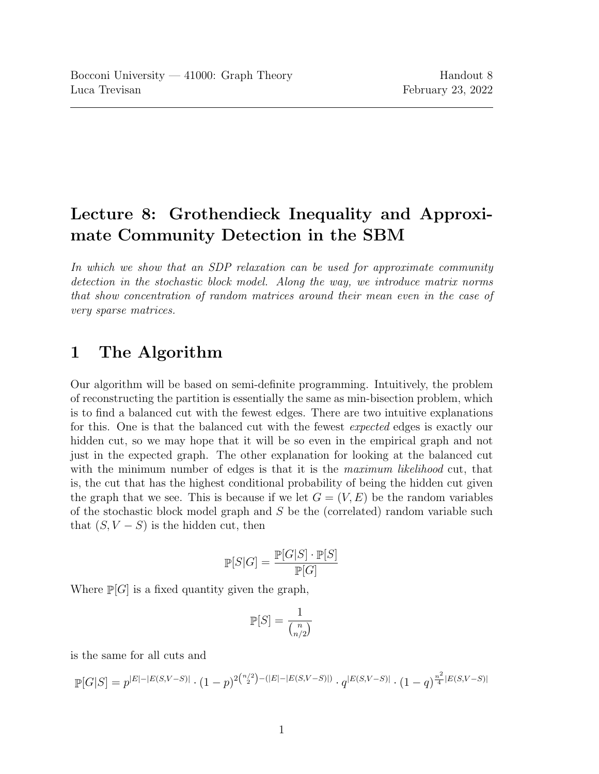# Lecture 8: Grothendieck Inequality and Approximate Community Detection in the SBM

In which we show that an SDP relaxation can be used for approximate community detection in the stochastic block model. Along the way, we introduce matrix norms that show concentration of random matrices around their mean even in the case of very sparse matrices.

## 1 The Algorithm

Our algorithm will be based on semi-definite programming. Intuitively, the problem of reconstructing the partition is essentially the same as min-bisection problem, which is to find a balanced cut with the fewest edges. There are two intuitive explanations for this. One is that the balanced cut with the fewest expected edges is exactly our hidden cut, so we may hope that it will be so even in the empirical graph and not just in the expected graph. The other explanation for looking at the balanced cut with the minimum number of edges is that it is the maximum likelihood cut, that is, the cut that has the highest conditional probability of being the hidden cut given the graph that we see. This is because if we let  $G = (V, E)$  be the random variables of the stochastic block model graph and S be the (correlated) random variable such that  $(S, V - S)$  is the hidden cut, then

$$
\mathbb{P}[S|G] = \frac{\mathbb{P}[G|S] \cdot \mathbb{P}[S]}{\mathbb{P}[G]}
$$

Where  $\mathbb{P}[G]$  is a fixed quantity given the graph,

$$
\mathbb{P}[S] = \frac{1}{\binom{n}{n/2}}
$$

is the same for all cuts and

$$
\mathbb{P}[G|S] = p^{|E|-|E(S,V-S)|} \cdot (1-p)^{2{n/2 \choose 2} - (|E|-|E(S,V-S)|)} \cdot q^{|E(S,V-S)|} \cdot (1-q)^{\frac{n^2}{4}|E(S,V-S)|}
$$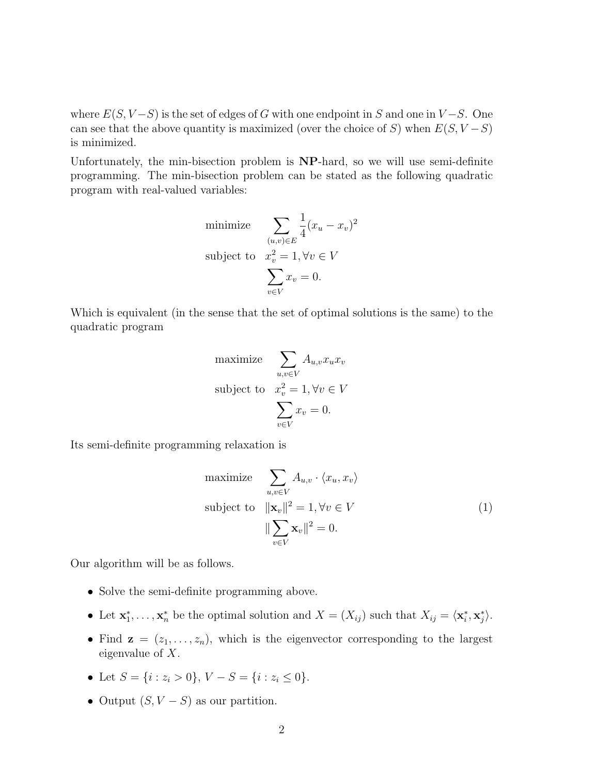where  $E(S, V-S)$  is the set of edges of G with one endpoint in S and one in  $V-S$ . One can see that the above quantity is maximized (over the choice of S) when  $E(S, V - S)$ is minimized.

Unfortunately, the min-bisection problem is NP-hard, so we will use semi-definite programming. The min-bisection problem can be stated as the following quadratic program with real-valued variables:

minimize 
$$
\sum_{(u,v)\in E} \frac{1}{4} (x_u - x_v)^2
$$
  
subject to 
$$
x_v^2 = 1, \forall v \in V
$$

$$
\sum_{v \in V} x_v = 0.
$$

Which is equivalent (in the sense that the set of optimal solutions is the same) to the quadratic program

maximize 
$$
\sum_{u,v \in V} A_{u,v} x_u x_v
$$
  
subject to 
$$
x_v^2 = 1, \forall v \in V
$$

$$
\sum_{v \in V} x_v = 0.
$$

<span id="page-1-0"></span>Its semi-definite programming relaxation is

maximize 
$$
\sum_{u,v \in V} A_{u,v} \cdot \langle x_u, x_v \rangle
$$
  
subject to 
$$
\|\mathbf{x}_v\|^2 = 1, \forall v \in V
$$

$$
\|\sum_{v \in V} \mathbf{x}_v\|^2 = 0.
$$
 (1)

Our algorithm will be as follows.

- Solve the semi-definite programming above.
- Let  $\mathbf{x}_1^*, \ldots, \mathbf{x}_n^*$  be the optimal solution and  $X = (X_{ij})$  such that  $X_{ij} = \langle \mathbf{x}_i^*, \mathbf{x}_j^* \rangle$ .
- Find  $z = (z_1, \ldots, z_n)$ , which is the eigenvector corresponding to the largest eigenvalue of X.
- Let  $S = \{i : z_i > 0\}$ ,  $V S = \{i : z_i \le 0\}$ .
- Output  $(S, V S)$  as our partition.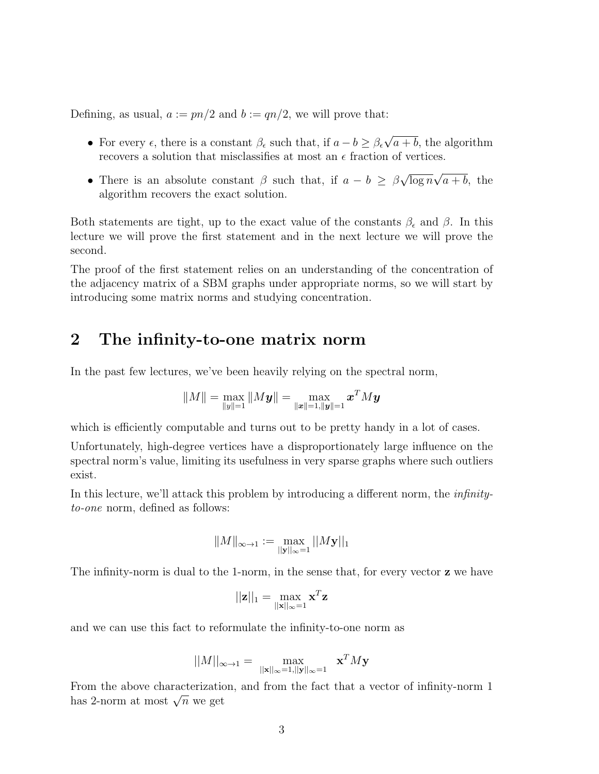Defining, as usual,  $a := pn/2$  and  $b := qn/2$ , we will prove that:

- For every  $\epsilon$ , there is a constant  $\beta_{\epsilon}$  such that, if  $a b \geq \beta_{\epsilon}$ √  $a + b$ , the algorithm recovers a solution that misclassifies at most an  $\epsilon$  fraction of vertices.
- There is an absolute constant  $\beta$  such that, if  $a b \geq \beta$ √  $\overline{\log n}$  $√($  $a + b$ , the algorithm recovers the exact solution.

Both statements are tight, up to the exact value of the constants  $\beta_{\epsilon}$  and  $\beta$ . In this lecture we will prove the first statement and in the next lecture we will prove the second.

The proof of the first statement relies on an understanding of the concentration of the adjacency matrix of a SBM graphs under appropriate norms, so we will start by introducing some matrix norms and studying concentration.

#### 2 The infinity-to-one matrix norm

In the past few lectures, we've been heavily relying on the spectral norm,

$$
\|M\|=\max_{\|{\boldsymbol{y}}\|=1}\|M{\boldsymbol{y}}\|=\max_{\|{\boldsymbol{x}}\|=1,\|{\boldsymbol{y}}\|=1}\boldsymbol{x}^T M {\boldsymbol{y}}
$$

which is efficiently computable and turns out to be pretty handy in a lot of cases.

Unfortunately, high-degree vertices have a disproportionately large influence on the spectral norm's value, limiting its usefulness in very sparse graphs where such outliers exist.

In this lecture, we'll attack this problem by introducing a different norm, the *infinity*to-one norm, defined as follows:

$$
\|M\|_{\infty\to 1}:=\max_{||\mathbf{y}||_\infty=1}||M\mathbf{y}||_1
$$

The infinity-norm is dual to the 1-norm, in the sense that, for every vector **z** we have

$$
||\mathbf{z}||_1 = \max_{||\mathbf{x}||_{\infty} = 1} \mathbf{x}^T \mathbf{z}
$$

and we can use this fact to reformulate the infinity-to-one norm as

$$
||M||_{\infty \to 1} = \max_{||\mathbf{x}||_{\infty} = 1, ||\mathbf{y}||_{\infty} = 1} \mathbf{x}^T M \mathbf{y}
$$

From the above characterization, and from the fact that a vector of infinity-norm 1 From the above characterization<br>has 2-norm at most  $\sqrt{n}$  we get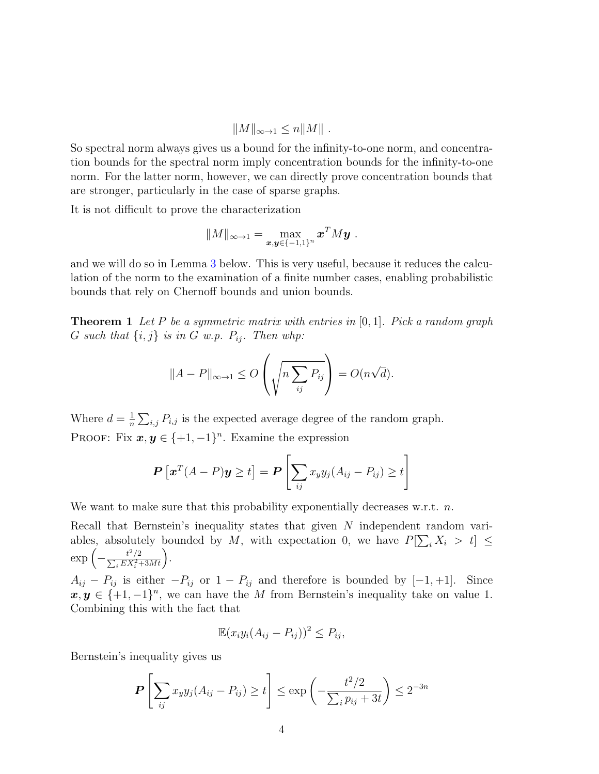$$
||M||_{\infty \to 1} \le n||M||.
$$

So spectral norm always gives us a bound for the infinity-to-one norm, and concentration bounds for the spectral norm imply concentration bounds for the infinity-to-one norm. For the latter norm, however, we can directly prove concentration bounds that are stronger, particularly in the case of sparse graphs.

It is not difficult to prove the characterization

$$
||M||_{\infty \to 1} = \max_{\boldsymbol{x}, \boldsymbol{y} \in \{-1,1\}^n} \boldsymbol{x}^T M \boldsymbol{y}.
$$

and we will do so in Lemma [3](#page-4-0) below. This is very useful, because it reduces the calculation of the norm to the examination of a finite number cases, enabling probabilistic bounds that rely on Chernoff bounds and union bounds.

**Theorem 1** Let P be a symmetric matrix with entries in  $[0,1]$ . Pick a random graph G such that  $\{i, j\}$  is in G w.p.  $P_{ij}$ . Then whp:

$$
||A - P||_{\infty \to 1} \le O\left(\sqrt{n \sum_{ij} P_{ij}}\right) = O(n\sqrt{d}).
$$

Where  $d=\frac{1}{n}$  $\frac{1}{n} \sum_{i,j} P_{i,j}$  is the expected average degree of the random graph. PROOF: Fix  $x, y \in \{+1, -1\}^n$ . Examine the expression

$$
\boldsymbol{P}\left[\boldsymbol{x}^T(A-P)\boldsymbol{y}\geq t\right]=\boldsymbol{P}\left[\sum_{ij}x_{y}y_{j}(A_{ij}-P_{ij})\geq t\right]
$$

We want to make sure that this probability exponentially decreases w.r.t.  $n$ .

Recall that Bernstein's inequality states that given N independent random variables, absolutely bounded by M, with expectation 0, we have  $P[\sum_i X_i > t] \leq$  $\exp\left(-\frac{t^2}{\nabla E X}\right)$  $\sum_{}^{}% \left( \sum_{}^{}% \left( \sum_{}^{}% \left( \sum_{}^{}% \left( \sum_{}^{}% \left( \sum_{}^{}% \left( \sum_{}^{}% \left( \sum_{}^{}% \left( \sum_{}^{}% \left( \sum_{}^{}% \right) \right) \right) \right) \right) \right) \right) \right)$ /2  $\frac{t^2/2}{i EX_i^2 + 3Mt}$ .

 $A_{ij} - P_{ij}$  is either  $-P_{ij}$  or  $1 - P_{ij}$  and therefore is bounded by  $[-1, +1]$ . Since  $x, y \in \{+1, -1\}^n$ , we can have the M from Bernstein's inequality take on value 1. Combining this with the fact that

$$
\mathbb{E}(x_iy_i(A_{ij}-P_{ij}))^2\leq P_{ij},
$$

Bernstein's inequality gives us

$$
\boldsymbol{P}\left[\sum_{ij} x_y y_j (A_{ij} - P_{ij}) \ge t\right] \le \exp\left(-\frac{t^2/2}{\sum_i p_{ij} + 3t}\right) \le 2^{-3n}
$$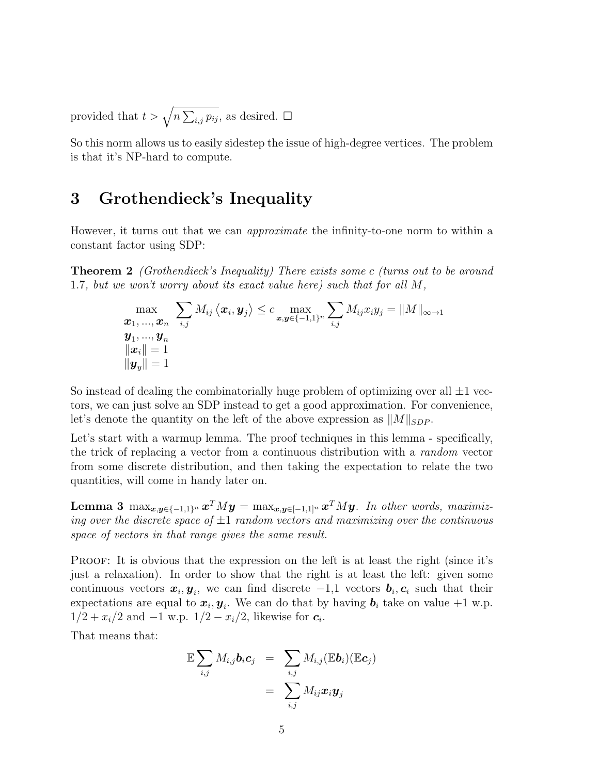provided that  $t > \sqrt{n \sum_{i,j} p_{ij}}$ , as desired.  $\Box$ 

So this norm allows us to easily sidestep the issue of high-degree vertices. The problem is that it's NP-hard to compute.

#### 3 Grothendieck's Inequality

However, it turns out that we can *approximate* the infinity-to-one norm to within a constant factor using SDP:

**Theorem 2** (Grothendieck's Inequality) There exists some c (turns out to be around 1.7, but we won't worry about its exact value here) such that for all M,

$$
\max_{\begin{array}{l} \boldsymbol{x}_1, ..., \boldsymbol{x}_n \quad i,j \\\boldsymbol{x}_1, ..., \boldsymbol{x}_n \end{array}} \sum_{i,j} M_{ij} \left\langle \boldsymbol{x}_i, \boldsymbol{y}_j \right\rangle \leq c \max_{\boldsymbol{x}, \boldsymbol{y} \in \{-1,1\}^n} \sum_{i,j} M_{ij} x_i y_j = \|M\|_{\infty \to 1} \\\left\| \boldsymbol{x}_i \right\| = 1 \\ \left\| \boldsymbol{y}_y \right\| = 1
$$

So instead of dealing the combinatorially huge problem of optimizing over all  $\pm 1$  vectors, we can just solve an SDP instead to get a good approximation. For convenience, let's denote the quantity on the left of the above expression as  $||M||_{SDP}$ .

Let's start with a warmup lemma. The proof techniques in this lemma - specifically, the trick of replacing a vector from a continuous distribution with a random vector from some discrete distribution, and then taking the expectation to relate the two quantities, will come in handy later on.

Lemma 3  $\max_{\bm{x},\bm{y}\in\{-1,1\}^n} \bm{x}^T M \bm{y} = \max_{\bm{x},\bm{y}\in[-1,1]^n} \bm{x}^T M \bm{y}$ . In other words, maximizing over the discrete space of  $\pm 1$  random vectors and maximizing over the continuous space of vectors in that range gives the same result.

PROOF: It is obvious that the expression on the left is at least the right (since it's just a relaxation). In order to show that the right is at least the left: given some continuous vectors  $x_i, y_i$ , we can find discrete  $-1,1$  vectors  $b_i, c_i$  such that their expectations are equal to  $x_i, y_i$ . We can do that by having  $b_i$  take on value +1 w.p.  $1/2 + x_i/2$  and  $-1$  w.p.  $1/2 - x_i/2$ , likewise for  $c_i$ .

That means that:

<span id="page-4-0"></span>
$$
\mathbb{E}\sum_{i,j} M_{i,j} \mathbf{b}_i \mathbf{c}_j = \sum_{i,j} M_{i,j}(\mathbb{E}\mathbf{b}_i)(\mathbb{E}\mathbf{c}_j)
$$
  
= 
$$
\sum_{i,j} M_{ij} \mathbf{x}_i \mathbf{y}_j
$$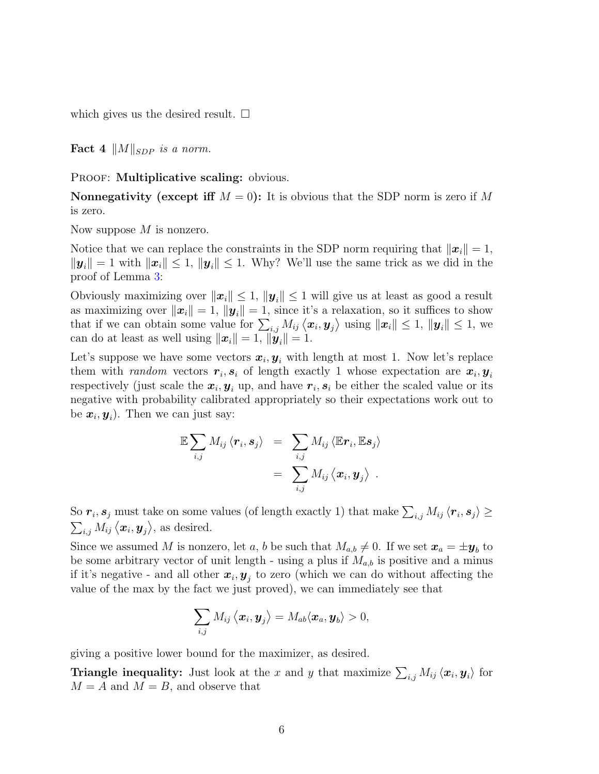which gives us the desired result.  $\square$ 

Fact 4  $||M||_{SDP}$  is a norm.

PROOF: Multiplicative scaling: obvious.

**Nonnegativity (except iff**  $M = 0$ ): It is obvious that the SDP norm is zero if M is zero.

Now suppose  $M$  is nonzero.

Notice that we can replace the constraints in the SDP norm requiring that  $||x_i|| = 1$ ,  $||\mathbf{y}_i|| = 1$  with  $||\mathbf{x}_i|| \leq 1$ ,  $||\mathbf{y}_i|| \leq 1$ . Why? We'll use the same trick as we did in the proof of Lemma [3:](#page-4-0)

Obviously maximizing over  $||x_i|| \leq 1$ ,  $||y_i|| \leq 1$  will give us at least as good a result as maximizing over  $||x_i|| = 1$ ,  $||y_i|| = 1$ , since it's a relaxation, so it suffices to show that if we can obtain some value for  $\sum_{i,j} M_{ij} \langle x_i, y_j \rangle$  using  $||x_i|| \leq 1$ ,  $||y_i|| \leq 1$ , we can do at least as well using  $\|\boldsymbol{x}_i\|=1$ ,  $\|\boldsymbol{y}_i\|=1$ .

Let's suppose we have some vectors  $x_i, y_i$  with length at most 1. Now let's replace them with *random* vectors  $r_i, s_i$  of length exactly 1 whose expectation are  $x_i, y_i$ respectively (just scale the  $x_i, y_i$  up, and have  $r_i, s_i$  be either the scaled value or its negative with probability calibrated appropriately so their expectations work out to be  $\boldsymbol{x}_i, \boldsymbol{y}_i$ ). Then we can just say:

$$
\mathbb{E}\sum_{i,j} M_{ij} \langle \boldsymbol{r}_i, \boldsymbol{s}_j \rangle = \sum_{i,j} M_{ij} \langle \mathbb{E} \boldsymbol{r}_i, \mathbb{E} \boldsymbol{s}_j \rangle
$$
  
= 
$$
\sum_{i,j} M_{ij} \langle \boldsymbol{x}_i, \boldsymbol{y}_j \rangle .
$$

So  $r_i$ ,  $s_j$  must take on some values (of length exactly 1) that make  $\sum_{i,j} M_{ij} \langle r_i, s_j \rangle \ge$  $\sum_{i,j} M_{ij} \langle x_i, y_j \rangle$ , as desired.

Since we assumed M is nonzero, let a, b be such that  $M_{a,b} \neq 0$ . If we set  $\boldsymbol{x}_a = \pm \boldsymbol{y}_b$  to be some arbitrary vector of unit length - using a plus if  $M_{a,b}$  is positive and a minus if it's negative - and all other  $x_i, y_j$  to zero (which we can do without affecting the value of the max by the fact we just proved), we can immediately see that

$$
\sum_{i,j} M_{ij} \left\langle \boldsymbol{x}_i, \boldsymbol{y}_j \right\rangle = M_{ab} \langle \boldsymbol{x}_a, \boldsymbol{y}_b \rangle > 0,
$$

giving a positive lower bound for the maximizer, as desired.

**Triangle inequality:** Just look at the x and y that maximize  $\sum_{i,j} M_{ij} \langle x_i, y_i \rangle$  for  $M = A$  and  $M = B$ , and observe that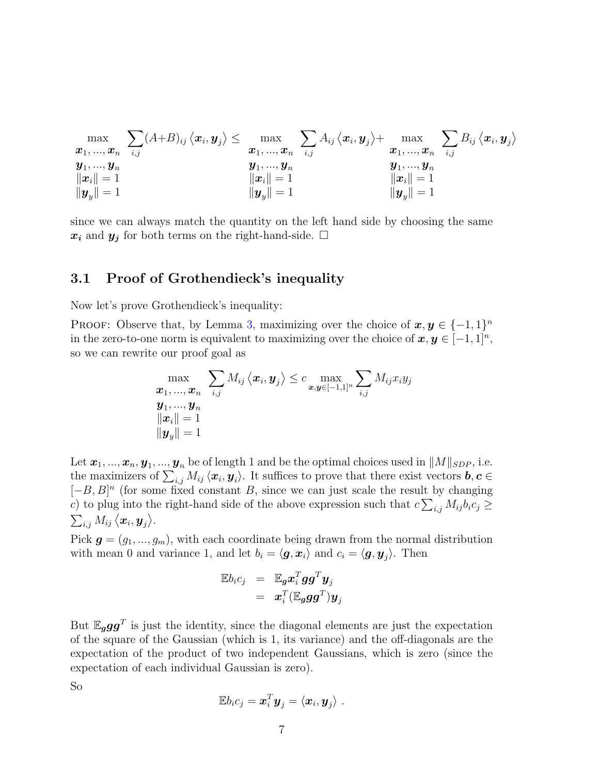$$
\max_{\begin{array}{c}\bm{x}_1,...,\bm{x}_n \\ \bm{y}_1,...,\bm{y}_n \\ \|\bm{x}_i\|=1 \\ \|\bm{y}_y\|=1\end{array}} \frac{\displaystyle\sum_{i,j}(A+B)_{ij}\left<\bm{x}_i,\bm{y}_j\right>}{\leq} \max_{\begin{array}{c}\bm{x}_1,...,\bm{x}_n \\ \bm{x}_1,...,\bm{x}_n \\ \|\bm{x}_i\|=1 \\ \|\bm{y}_y\|=1\end{array}} \frac{\displaystyle\sum_{i,j}A_{ij}\left<\bm{x}_i,\bm{y}_j\right>}{\leq} \max_{\begin{array}{c}\bm{x}_1,...,\bm{x}_n \\ \|\bm{x}_i\|=1 \\ \|\bm{y}_y\|=1\end{array}} \frac{\displaystyle\sum_{i,j}B_{ij}\left<\bm{x}_i,\bm{y}_j\right>}{\leq}
$$

since we can always match the quantity on the left hand side by choosing the same  $x_i$  and  $y_j$  for both terms on the right-hand-side.  $\Box$ 

#### 3.1 Proof of Grothendieck's inequality

Now let's prove Grothendieck's inequality:

PROOF: Observe that, by Lemma [3,](#page-4-0) maximizing over the choice of  $x, y \in \{-1, 1\}^n$ in the zero-to-one norm is equivalent to maximizing over the choice of  $x, y \in [-1, 1]^n$ , so we can rewrite our proof goal as

$$
\max_{\begin{array}{c} \boldsymbol{x}_1, ..., \boldsymbol{x}_n \end{array}} \sum_{i,j} M_{ij} \left\langle \boldsymbol{x}_i, \boldsymbol{y}_j \right\rangle \leq c \max_{\boldsymbol{x}, \boldsymbol{y} \in [-1,1]^n} \sum_{i,j} M_{ij} x_i y_j \\ \boldsymbol{y}_1, ..., \boldsymbol{y}_n \\ \|\boldsymbol{x}_i\| = 1 \\ \|\boldsymbol{y}_y\| = 1 \end{array}
$$

Let  $\pmb{x}_1,...,\pmb{x}_n,\pmb{y}_1,...,\pmb{y}_n$  be of length 1 and be the optimal choices used in  $\|M\|_{SDP}$ , i.e. the maximizers of  $\sum_{i,j} M_{ij} \langle x_i, y_i \rangle$ . It suffices to prove that there exist vectors  $b, c \in$  $[-B, B]^n$  (for some fixed constant B, since we can just scale the result by changing c) to plug into the right-hand side of the above expression such that  $c \sum_{i,j} M_{ij} b_i c_j \geq$  $\sum_{i,j} M_{ij} \left\langle \boldsymbol{x}_i, \boldsymbol{y}_j \right\rangle$ .

Pick  $g = (g_1, ..., g_m)$ , with each coordinate being drawn from the normal distribution with mean 0 and variance 1, and let  $b_i = \langle g, x_i \rangle$  and  $c_i = \langle g, y_j \rangle$ . Then

$$
\begin{array}{rcl} \mathbb{E} b_i c_j &=& \mathbb{E}_{\bm{g}} \bm{x}_i^T \bm{g} \bm{g}^T \bm{y}_j \\ &=& \bm{x}_i^T (\mathbb{E}_{\bm{g}} \bm{g} \bm{g}^T) \bm{y}_j \end{array}
$$

But  $\mathbb{E}_g gg^T$  is just the identity, since the diagonal elements are just the expectation of the square of the Gaussian (which is 1, its variance) and the off-diagonals are the expectation of the product of two independent Gaussians, which is zero (since the expectation of each individual Gaussian is zero).

So

$$
\mathbb{E} b_i c_j = \boldsymbol{x}_i^T \boldsymbol{y}_j = \langle \boldsymbol{x}_i, \boldsymbol{y}_j \rangle \; .
$$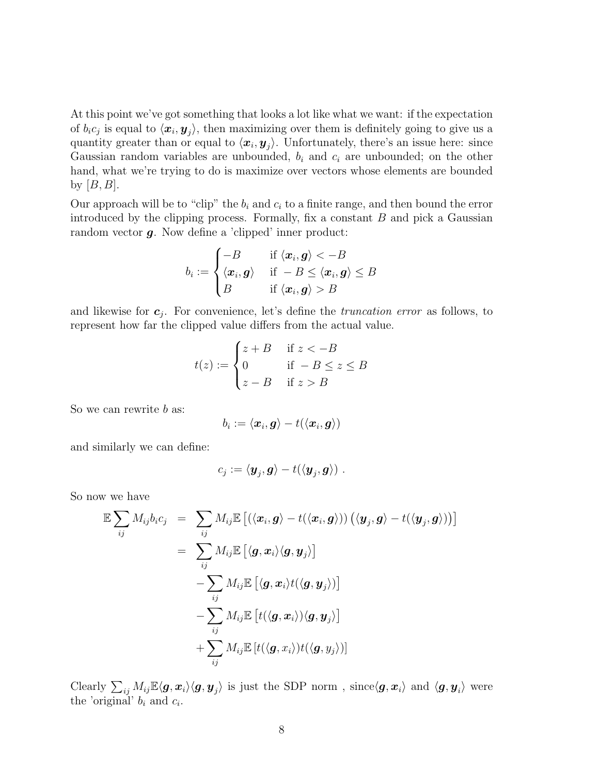At this point we've got something that looks a lot like what we want: if the expectation of  $b_i c_j$  is equal to  $\langle x_i, y_j \rangle$ , then maximizing over them is definitely going to give us a quantity greater than or equal to  $\langle x_i, y_j \rangle$ . Unfortunately, there's an issue here: since Gaussian random variables are unbounded,  $b_i$  and  $c_i$  are unbounded; on the other hand, what we're trying to do is maximize over vectors whose elements are bounded by  $[B, B]$ .

Our approach will be to "clip" the  $b_i$  and  $c_i$  to a finite range, and then bound the error introduced by the clipping process. Formally, fix a constant  $B$  and pick a Gaussian random vector  $g$ . Now define a 'clipped' inner product:

$$
b_i := \begin{cases} -B & \text{if } \langle \boldsymbol{x}_i, \boldsymbol{g} \rangle < -B \\ \langle \boldsymbol{x}_i, \boldsymbol{g} \rangle & \text{if } -B \leq \langle \boldsymbol{x}_i, \boldsymbol{g} \rangle \leq B \\ B & \text{if } \langle \boldsymbol{x}_i, \boldsymbol{g} \rangle > B \end{cases}
$$

and likewise for  $c_j$ . For convenience, let's define the *truncation error* as follows, to represent how far the clipped value differs from the actual value.

$$
t(z) := \begin{cases} z + B & \text{if } z < -B \\ 0 & \text{if } -B \le z \le B \\ z - B & \text{if } z > B \end{cases}
$$

So we can rewrite b as:

$$
b_i := \langle \boldsymbol{x}_i, \boldsymbol{g}\rangle - t(\langle \boldsymbol{x}_i, \boldsymbol{g}\rangle)
$$

and similarly we can define:

$$
c_j := \langle \boldsymbol{y}_j, \boldsymbol{g} \rangle - t(\langle \boldsymbol{y}_j, \boldsymbol{g} \rangle) \ .
$$

So now we have

$$
\mathbb{E}\sum_{ij} M_{ij}b_ic_j = \sum_{ij} M_{ij}\mathbb{E}\left[\left(\langle \mathbf{x}_i, \mathbf{g} \rangle - t(\langle \mathbf{x}_i, \mathbf{g} \rangle)\right) \left(\langle \mathbf{y}_j, \mathbf{g} \rangle - t(\langle \mathbf{y}_j, \mathbf{g} \rangle)\right)\right]
$$
  
\n
$$
= \sum_{ij} M_{ij}\mathbb{E}\left[\langle \mathbf{g}, \mathbf{x}_i \rangle \langle \mathbf{g}, \mathbf{y}_j \rangle\right]
$$
  
\n
$$
- \sum_{ij} M_{ij}\mathbb{E}\left[\langle \mathbf{g}, \mathbf{x}_i \rangle t(\langle \mathbf{g}, \mathbf{y}_j \rangle)\right]
$$
  
\n
$$
- \sum_{ij} M_{ij}\mathbb{E}\left[t(\langle \mathbf{g}, \mathbf{x}_i \rangle) \langle \mathbf{g}, \mathbf{y}_j \rangle\right]
$$
  
\n
$$
+ \sum_{ij} M_{ij}\mathbb{E}\left[t(\langle \mathbf{g}, \mathbf{x}_i \rangle) t(\langle \mathbf{g}, \mathbf{y}_j \rangle)\right]
$$

Clearly  $\sum_{ij} M_{ij} \mathbb{E}\langle \bm{g}, \bm{x}_i \rangle \langle \bm{g}, \bm{y}_j \rangle$  is just the SDP norm, since  $\langle \bm{g}, \bm{x}_i \rangle$  and  $\langle \bm{g}, \bm{y}_i \rangle$  were the 'original'  $b_i$  and  $c_i$ .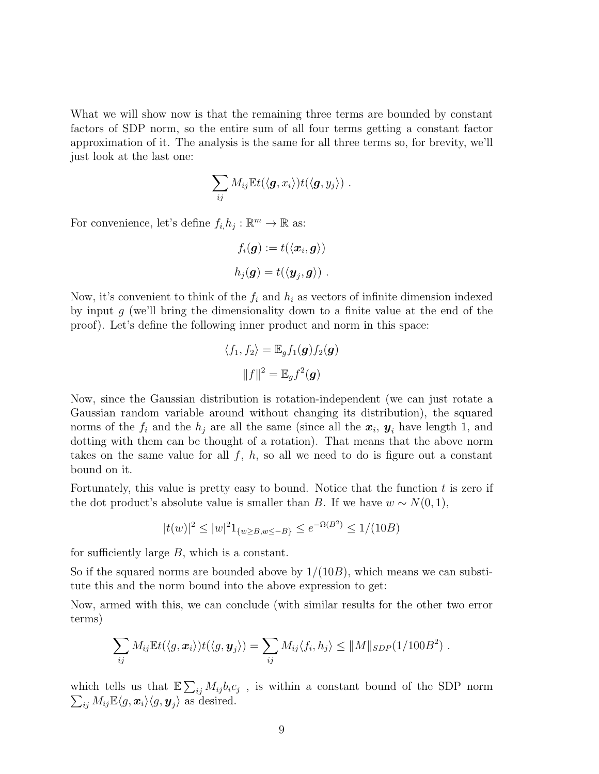What we will show now is that the remaining three terms are bounded by constant factors of SDP norm, so the entire sum of all four terms getting a constant factor approximation of it. The analysis is the same for all three terms so, for brevity, we'll just look at the last one:

$$
\sum_{ij} M_{ij} \mathbb{E} t(\langle \boldsymbol{g}, x_i \rangle) t(\langle \boldsymbol{g}, y_j \rangle) \ .
$$

For convenience, let's define  $f_i, h_j : \mathbb{R}^m \to \mathbb{R}$  as:

$$
f_i(\boldsymbol{g}) := t(\langle \boldsymbol{x}_i, \boldsymbol{g} \rangle)
$$
  

$$
h_j(\boldsymbol{g}) = t(\langle \boldsymbol{y}_j, \boldsymbol{g} \rangle) \ .
$$

Now, it's convenient to think of the  $f_i$  and  $h_i$  as vectors of infinite dimension indexed by input  $g$  (we'll bring the dimensionality down to a finite value at the end of the proof). Let's define the following inner product and norm in this space:

$$
\langle f_1, f_2 \rangle = \mathbb{E}_g f_1(\mathbf{g}) f_2(\mathbf{g})
$$

$$
||f||^2 = \mathbb{E}_g f^2(\mathbf{g})
$$

Now, since the Gaussian distribution is rotation-independent (we can just rotate a Gaussian random variable around without changing its distribution), the squared norms of the  $f_i$  and the  $h_j$  are all the same (since all the  $x_i$ ,  $y_i$  have length 1, and dotting with them can be thought of a rotation). That means that the above norm takes on the same value for all  $f, h$ , so all we need to do is figure out a constant bound on it.

Fortunately, this value is pretty easy to bound. Notice that the function  $t$  is zero if the dot product's absolute value is smaller than B. If we have  $w \sim N(0, 1)$ ,

$$
|t(w)|^2 \le |w|^2 1_{\{w \ge B, w \le -B\}} \le e^{-\Omega(B^2)} \le 1/(10B)
$$

for sufficiently large B, which is a constant.

So if the squared norms are bounded above by  $1/(10B)$ , which means we can substitute this and the norm bound into the above expression to get:

Now, armed with this, we can conclude (with similar results for the other two error terms)

$$
\sum_{ij} M_{ij} \mathbb{E} t(\langle g, \boldsymbol{x}_i \rangle) t(\langle g, \boldsymbol{y}_j \rangle) = \sum_{ij} M_{ij} \langle f_i, h_j \rangle \leq ||M||_{SDP}(1/100B^2) .
$$

which tells us that  $\mathbb{E}\sum_{ij} M_{ij} b_i c_j$ , is within a constant bound of the SDP norm  $\sum_{ij} M_{ij} \mathbb{E}\langle g, \boldsymbol{x}_i \rangle \langle g, \boldsymbol{y}_j \rangle$  as desired.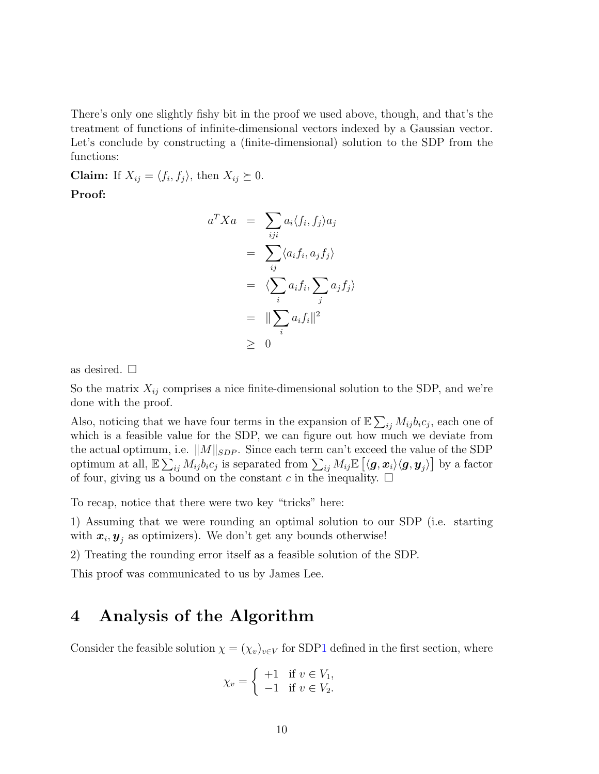There's only one slightly fishy bit in the proof we used above, though, and that's the treatment of functions of infinite-dimensional vectors indexed by a Gaussian vector. Let's conclude by constructing a (finite-dimensional) solution to the SDP from the functions:

**Claim:** If  $X_{ij} = \langle f_i, f_j \rangle$ , then  $X_{ij} \succeq 0$ .

Proof:

$$
a^T X a = \sum_{iji} a_i \langle f_i, f_j \rangle a_j
$$
  
= 
$$
\sum_{ij} \langle a_i f_i, a_j f_j \rangle
$$
  
= 
$$
\langle \sum_i a_i f_i, \sum_j a_j f_j \rangle
$$
  
= 
$$
\|\sum_i a_i f_i\|^2
$$
  

$$
\geq 0
$$

as desired.  $\square$ 

So the matrix  $X_{ij}$  comprises a nice finite-dimensional solution to the SDP, and we're done with the proof.

Also, noticing that we have four terms in the expansion of  $\mathbb{E} \sum_{ij} M_{ij} b_i c_j$ , each one of which is a feasible value for the SDP, we can figure out how much we deviate from the actual optimum, i.e.  $||M||_{SDP}$ . Since each term can't exceed the value of the SDP optimum at all,  $\mathbb{E} \sum_{ij} M_{ij} b_i c_j$  is separated from  $\sum_{ij} M_{ij} \mathbb{E} \left[ \langle \boldsymbol{g}, \boldsymbol{x}_i \rangle \langle \boldsymbol{g}, \boldsymbol{y}_j \rangle \right]$  by a factor of four, giving us a bound on the constant c in the inequality.  $\square$ 

To recap, notice that there were two key "tricks" here:

1) Assuming that we were rounding an optimal solution to our SDP (i.e. starting with  $x_i, y_j$  as optimizers). We don't get any bounds otherwise!

2) Treating the rounding error itself as a feasible solution of the SDP.

This proof was communicated to us by James Lee.

### 4 Analysis of the Algorithm

Consider the feasible solution  $\chi = (\chi_v)_{v \in V}$  for SD[P1](#page-1-0) defined in the first section, where

$$
\chi_v = \begin{cases} +1 & \text{if } v \in V_1, \\ -1 & \text{if } v \in V_2. \end{cases}
$$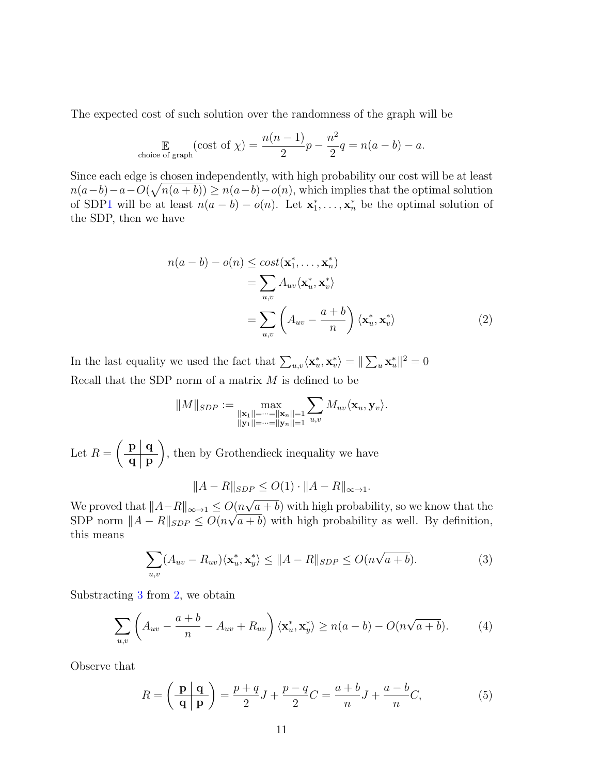The expected cost of such solution over the randomness of the graph will be

$$
\mathbb{E}_{\text{choice of graph}}(\text{cost of } \chi) = \frac{n(n-1)}{2}p - \frac{n^2}{2}q = n(a-b) - a.
$$

Since each edge is chosen independently, with high probability our cost will be at least  $n(a-b)-a-O(\sqrt{n(a+b)}) \geq n(a-b)-o(n)$ , which implies that the optimal solution of SD[P1](#page-1-0) will be at least  $n(a - b) - o(n)$ . Let  $\mathbf{x}_1^*, \ldots, \mathbf{x}_n^*$  be the optimal solution of the SDP, then we have

<span id="page-10-1"></span>
$$
n(a - b) - o(n) \le \cos t(\mathbf{x}_1^*, \dots, \mathbf{x}_n^*)
$$
  
= 
$$
\sum_{u,v} A_{uv} \langle \mathbf{x}_u^*, \mathbf{x}_v^* \rangle
$$
  
= 
$$
\sum_{u,v} \left( A_{uv} - \frac{a+b}{n} \right) \langle \mathbf{x}_u^*, \mathbf{x}_v^* \rangle
$$
 (2)

In the last equality we used the fact that  $\sum_{u,v}\langle \mathbf{x}_u^*, \mathbf{x}_v^* \rangle = ||\sum_u \mathbf{x}_u^*||^2 = 0$ Recall that the SDP norm of a matrix  $M$  is defined to be

$$
||M||_{SDP} := \max_{\substack{||\mathbf{x}_1||=\cdots=||\mathbf{x}_n||=1\\ ||\mathbf{y}_1||=\cdots=||\mathbf{y}_n||=1}} \sum_{u,v} M_{uv} \langle \mathbf{x}_u, \mathbf{y}_v \rangle.
$$

Let  $R =$  $\int$  p | q  $\mathbf{q} \mid \mathbf{p}$  $\setminus$ , then by Grothendieck inequality we have

$$
||A - R||_{SDP} \le O(1) \cdot ||A - R||_{\infty \to 1}.
$$

We proved that  $||A-R||_{\infty\to 1} \leq O(n)$  $O(n\sqrt{a}+b)$  with high probability, so we know that the SDP norm  $||A - R||_{SDP} \leq O(n\sqrt{a+b})$  with high probability as well. By definition, this means

<span id="page-10-3"></span><span id="page-10-0"></span>
$$
\sum_{u,v} (A_{uv} - R_{uv}) \langle \mathbf{x}_u^*, \mathbf{x}_y^* \rangle \le ||A - R||_{SDP} \le O(n\sqrt{a+b}). \tag{3}
$$

Substracting [3](#page-10-0) from [2,](#page-10-1) we obtain

$$
\sum_{u,v} \left( A_{uv} - \frac{a+b}{n} - A_{uv} + R_{uv} \right) \langle \mathbf{x}_u^*, \mathbf{x}_y^* \rangle \ge n(a-b) - O(n\sqrt{a+b}). \tag{4}
$$

Observe that

<span id="page-10-2"></span>
$$
R = \left(\frac{\mathbf{p} \mid \mathbf{q}}{\mathbf{q} \mid \mathbf{p}}\right) = \frac{p+q}{2}J + \frac{p-q}{2}C = \frac{a+b}{n}J + \frac{a-b}{n}C,\tag{5}
$$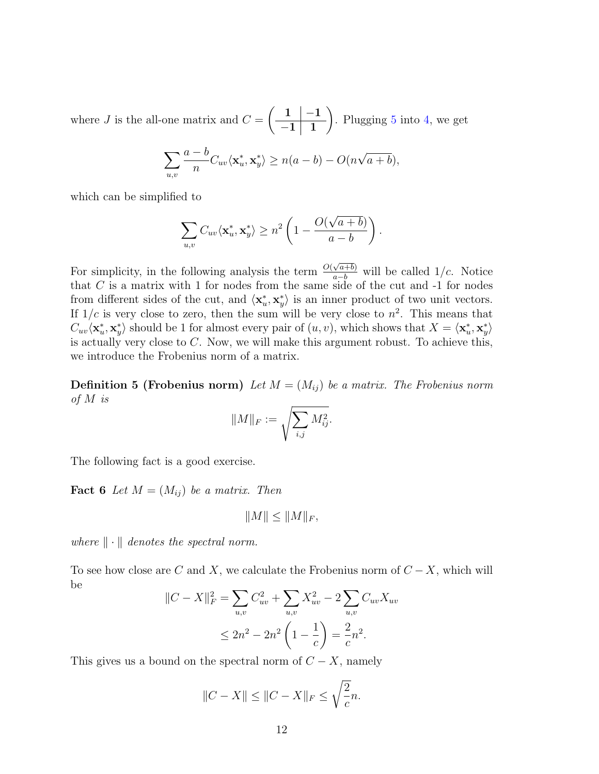where  $J$  is the all-one matrix and  $C =$  $\begin{array}{|c|c|c|} \hline 1 & -1 \end{array}$  $-1 \mid 1$  $\setminus$ . Plugging  $5$  into  $4$ , we get

$$
\sum_{u,v} \frac{a-b}{n} C_{uv} \langle \mathbf{x}_u^*, \mathbf{x}_y^* \rangle \ge n(a-b) - O(n\sqrt{a+b}),
$$

which can be simplified to

$$
\sum_{u,v} C_{uv} \langle \mathbf{x}_u^*, \mathbf{x}_y^* \rangle \geq n^2 \left( 1 - \frac{O(\sqrt{a+b})}{a-b} \right).
$$

For simplicity, in the following analysis the term  $\frac{O(\sqrt{a+b})}{a-b}$  will be called 1/*c*. Notice that  $C$  is a matrix with 1 for nodes from the same side of the cut and  $-1$  for nodes from different sides of the cut, and  $\langle \mathbf{x}_u^*, \mathbf{x}_y^* \rangle$  is an inner product of two unit vectors. If  $1/c$  is very close to zero, then the sum will be very close to  $n^2$ . This means that  $C_{uv}\langle \mathbf{x}_u^*, \mathbf{x}_y^* \rangle$  should be 1 for almost every pair of  $(u, v)$ , which shows that  $X = \langle \mathbf{x}_u^*, \mathbf{x}_y^* \rangle$ is actually very close to C. Now, we will make this argument robust. To achieve this, we introduce the Frobenius norm of a matrix.

**Definition 5 (Frobenius norm)** Let  $M = (M_{ij})$  be a matrix. The Frobenius norm of M is

$$
||M||_F := \sqrt{\sum_{i,j} M_{ij}^2}.
$$

The following fact is a good exercise.

**Fact 6** Let  $M = (M_{ij})$  be a matrix. Then

$$
||M|| \leq ||M||_F,
$$

where  $\|\cdot\|$  denotes the spectral norm.

To see how close are C and X, we calculate the Frobenius norm of  $C - X$ , which will be

$$
||C - X||_F^2 = \sum_{u,v} C_{uv}^2 + \sum_{u,v} X_{uv}^2 - 2 \sum_{u,v} C_{uv} X_{uv}
$$
  

$$
\leq 2n^2 - 2n^2 \left(1 - \frac{1}{c}\right) = \frac{2}{c}n^2.
$$

This gives us a bound on the spectral norm of  $C - X$ , namely

$$
||C - X|| \le ||C - X||_F \le \sqrt{\frac{2}{c}}n.
$$